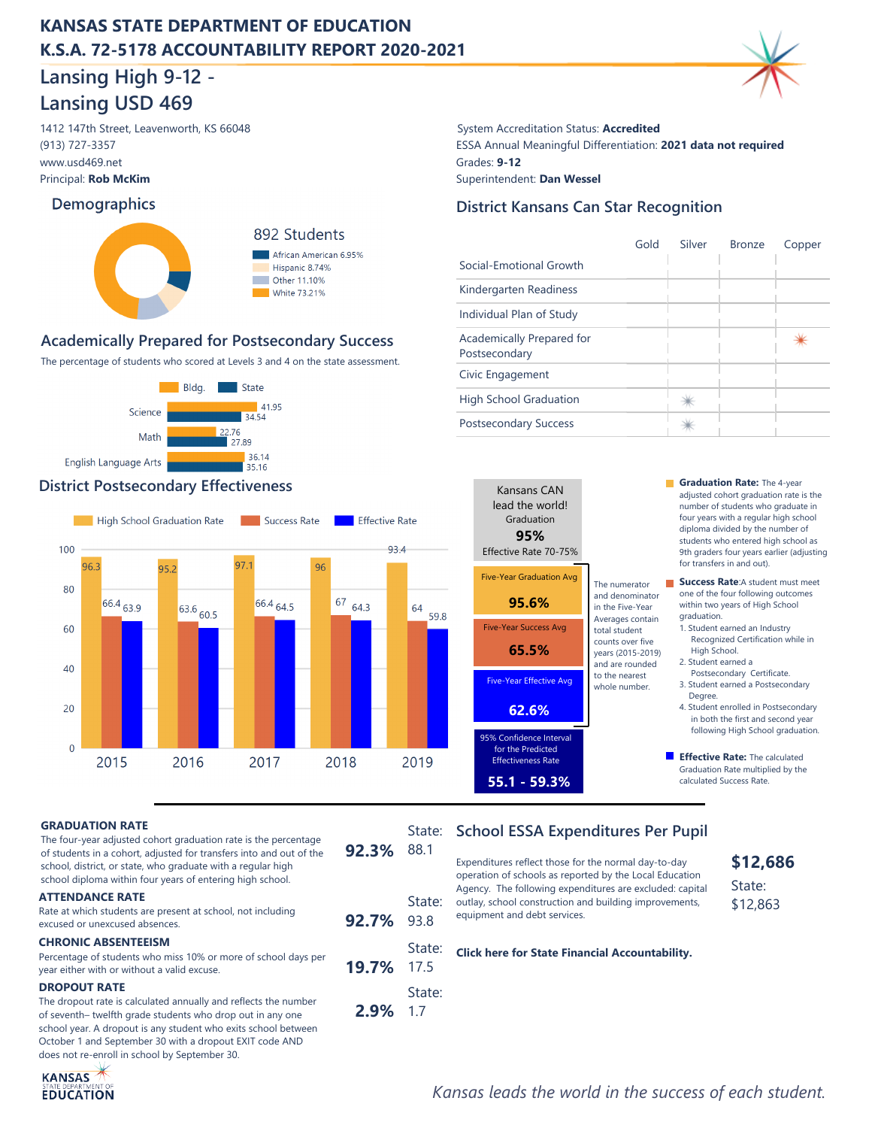## **KANSAS STATE DEPARTMENT OF EDUCATION K.S.A. 72-5178 ACCOUNTABILITY REPORT 2020-2021**

# **Lansing High 9-12 - Lansing USD 469**

1412 147th Street, Leavenworth, KS 66048 System Accreditation Status: **Accredited** www.usd469.net Principal: **Rob McKim** (913) 727-3357

### **Demographics**



## **Academically Prepared for Postsecondary Success**

The percentage of students who scored at Levels 3 and 4 on the state assessment.



### **District Postsecondary Effectiveness Graduation Rate:** The 4-year



## ESSA Annual Meaningful Differentiation: **2021 data not required District Kansans Can Star Recognition** Grades: **9-12** Superintendent: **Dan Wessel**

|                                            | Gold | Silver | <b>Bronze</b> | Copper |
|--------------------------------------------|------|--------|---------------|--------|
| Social-Emotional Growth                    |      |        |               |        |
| Kindergarten Readiness                     |      |        |               |        |
| Individual Plan of Study                   |      |        |               |        |
| Academically Prepared for<br>Postsecondary |      |        |               |        |
| Civic Engagement                           |      |        |               |        |
| <b>High School Graduation</b>              |      |        |               |        |
| <b>Postsecondary Success</b>               |      |        |               |        |

| Kansans CAN<br>lead the world!<br>Graduation<br>95%<br>Effective Rate 70-75% |                                                          |
|------------------------------------------------------------------------------|----------------------------------------------------------|
| <b>Five-Year Graduation Avg</b>                                              | The numerator                                            |
| 95.6%                                                                        | and denominator<br>in the Five-Year                      |
| <b>Five-Year Success Avg</b>                                                 | Averages contain<br>total student                        |
| 65.5%                                                                        | counts over five<br>years (2015-2019)<br>and are rounded |
| <b>Five-Year Effective Avg</b>                                               | to the nearest<br>whole number.                          |
| 62.6%                                                                        |                                                          |
| 95% Confidence Interval<br>for the Predicted<br><b>Effectiveness Rate</b>    |                                                          |
| 55.1 - 59.3%                                                                 |                                                          |

adjusted cohort graduation rate is the number of students who graduate in four years with a regular high school diploma divided by the number of students who entered high school as 9th graders four years earlier (adjusting for transfers in and out).

**Success Rate:**A student must meet one of the four following outcomes within two years of High School graduation.

1. Student earned an Industry Recognized Certification while in High School.

- 2. Student earned a Postsecondary Certificate.
- 3. Student earned a Postsecondary Degree.
- 4. Student enrolled in Postsecondary in both the first and second year following High School graduation.
- **Effective Rate:** The calculated Graduation Rate multiplied by the calculated Success Rate.

#### **GRADUATION RATE**

**92.7% ATTENDANCE RATE** Rate at which students are present at school, not including excused or unexcused absences. **CHRONIC ABSENTEEISM** The four-year adjusted cohort graduation rate is the percentage of students in a cohort, adjusted for transfers into and out of the school, district, or state, who graduate with a regular high school diploma within four years of entering high school. **92.3%**

**19.7%**

**2.9%**

 State: 17.5

 State: 93.8

88.1

 State: 1.7

Percentage of students who miss 10% or more of school days per year either with or without a valid excuse.

#### **DROPOUT RATE**

The dropout rate is calculated annually and reflects the number of seventh– twelfth grade students who drop out in any one school year. A dropout is any student who exits school between October 1 and September 30 with a dropout EXIT code AND does not re-enroll in school by September 30.



## State: School ESSA Expenditures Per Pupil

Expenditures reflect those for the normal day-to-day operation of schools as reported by the Local Education Agency. The following expenditures are excluded: capital outlay, school construction and building improvements, equipment and debt services.

**[Click here for State Financial Accountability.](https://datacentral.ksde.org/dist_funding_rpt.aspx)**

## *Kansas leads the world in the success of each student.*

**\$12,686** State: \$12,863